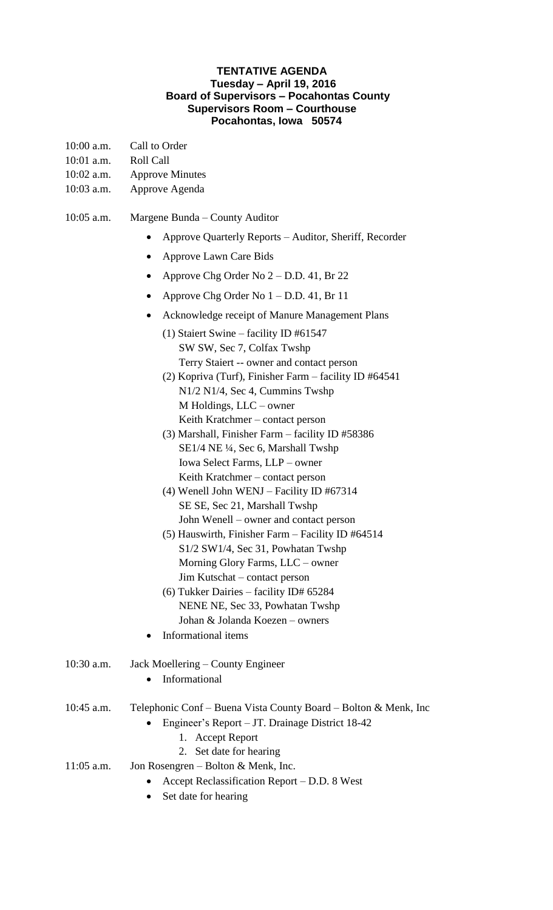## **TENTATIVE AGENDA Tuesday – April 19, 2016 Board of Supervisors – Pocahontas County Supervisors Room – Courthouse Pocahontas, Iowa 50574**

- 10:00 a.m. Call to Order
- 10:01 a.m. Roll Call
- 10:02 a.m. Approve Minutes

## 10:03 a.m. Approve Agenda

- 10:05 a.m. Margene Bunda County Auditor
	- Approve Quarterly Reports Auditor, Sheriff, Recorder
	- Approve Lawn Care Bids
	- Approve Chg Order No  $2 D.D. 41$ , Br 22
	- Approve Chg Order No  $1 D.D. 41$ , Br 11
	- Acknowledge receipt of Manure Management Plans
		- (1) Staiert Swine facility ID #61547 SW SW, Sec 7, Colfax Twshp Terry Staiert -- owner and contact person
		- (2) Kopriva (Turf), Finisher Farm facility ID #64541 N1/2 N1/4, Sec 4, Cummins Twshp M Holdings, LLC – owner Keith Kratchmer – contact person
		- (3) Marshall, Finisher Farm facility ID #58386 SE1/4 NE ¼, Sec 6, Marshall Twshp Iowa Select Farms, LLP – owner Keith Kratchmer – contact person
		- (4) Wenell John WENJ Facility ID #67314 SE SE, Sec 21, Marshall Twshp John Wenell – owner and contact person
		- (5) Hauswirth, Finisher Farm Facility ID #64514 S1/2 SW1/4, Sec 31, Powhatan Twshp Morning Glory Farms, LLC – owner Jim Kutschat – contact person
		- (6) Tukker Dairies facility ID# 65284 NENE NE, Sec 33, Powhatan Twshp Johan & Jolanda Koezen – owners
	- Informational items
- 10:30 a.m. Jack Moellering County Engineer
	- Informational
- 10:45 a.m. Telephonic Conf Buena Vista County Board Bolton & Menk, Inc
	- Engineer's Report JT. Drainage District 18-42
		- 1. Accept Report
		- 2. Set date for hearing
- 11:05 a.m. Jon Rosengren Bolton & Menk, Inc.
	- Accept Reclassification Report D.D. 8 West
	- Set date for hearing